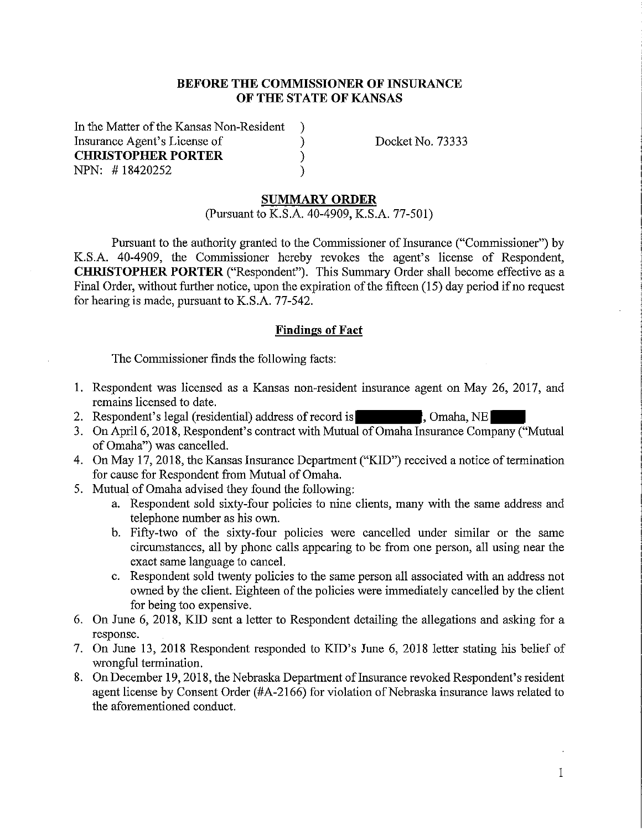### **BEFORE THE COMMISSIONER OF INSURANCE OF THE STATE OF KANSAS**

In the Matter of the Kansas Non-Resident ) Insurance Agent's License of ) Docket No. 73333<br>
CHRISTOPHER PORTER ) **CHRISTOPHER PORTER** ) NPN: #18420252 )

#### **SUMMARY ORDER**

(Pursuant to K.S.A. 40-4909, K.S.A. 77-501)

Pursuant to the authority granted to the Commissioner of Insurance ("Commissioner") by K.S.A. 40-4909, the Commissioner hereby revokes the agent's license of Respondent, **CHRISTOPHER PORTER** ("Respondent"). This Summary Order shall become effective as a Final Order, without further notice, upon the expiration of the fifteen (15) day period if no request for hearing is made, pursuant to K.S.A. 77-542.

#### **Findings of Fact**

The Commissioner finds the following facts:

- 1. Respondent was licensed as a Kansas non-resident insurance agent on May 26, 2017, and remains licensed to date.
- 2. Respondent's legal (residential) address ofrecord is \ Omaha, NE
- 3. On April 6, 2018, Respondent's contract with Mutual of Omaha Insurance Company ("Mutual of Omaha") was cancelled.
- 4. On May 17, 2018, the Kansas Insurance Department ("KID") received a notice of termination for cause for Respondent from Mutual of Omaha.
- 5. Mutual of Omaha advised they found the following:
	- a. Respondent sold sixty-four policies to nine clients, many with the same address and telephone number as his own.
	- b. Fifty-two of the sixty-four policies were cancelled under similar or the same circumstances, all by phone calls appearing to be from one person, all using near the exact same language to cancel.
	- c. Respondent sold twenty policies to the same person all associated with an address not owned by the client. Eighteen of the policies were immediately cancelled by the client for being too expensive.
- 6. On June 6, 2018, KID sent a letter to Respondent detailing the allegations and asking for a response.
- 7. On June 13, 2018 Respondent responded to KID's June 6, 2018 letter stating his belief of wrongful termination.
- 8. On December 19, 2018, the Nebraska Department of Insurance revoked Respondent's resident agent license by Consent Order (#A-2166) for violation of Nebraska insurance laws related to the aforementioned conduct.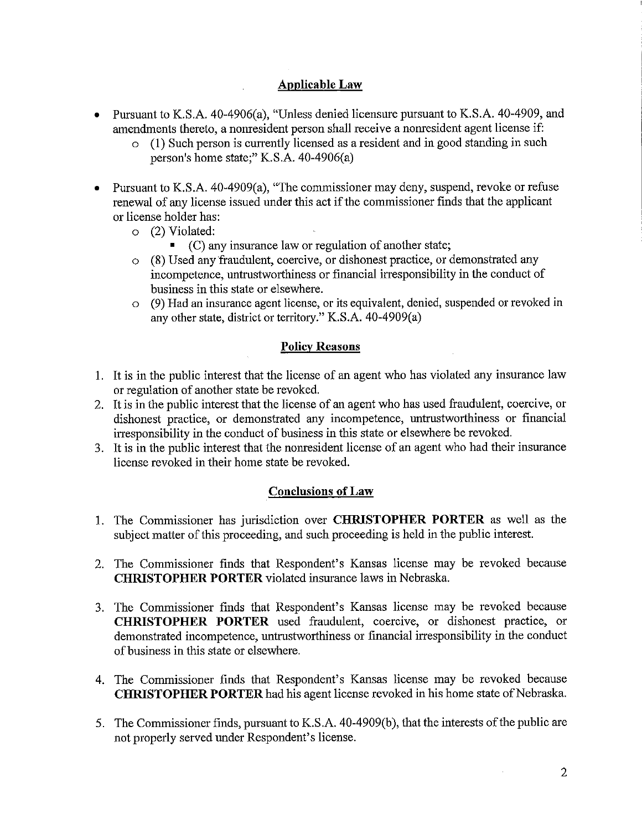## **Applicable Law**

- Pursuant to K.S.A. 40-4906(a), "Unless denied licensure pursuant to K.S.A. 40-4909, and amendments thereto, a nonresident person shall receive a nonresident agent license if:
	- o (1) Such person is currently licensed as a resident and in good standing in such person's home state;" K.S.A. 40-4906(a)
- Pursuant to K.S.A. 40-4909(a), "The commissioner may deny, suspend, revoke or refuse renewal of any license issued under this act if the commissioner finds that the applicant or license holder has:
	- o (2) Violated:
		- (C) any insurance law or regulation of another state;
	- o (8) Used any fraudulent, coercive, or dishonest practice, or demonstrated any incompetence, untrustworthiness or financial irresponsibility in the conduct of business in this state or elsewhere.
	- o (9) Had an insurance agent license, or its equivalent, denied, suspended or revoked in any other state, district or territory." K.S.A. 40-4909(a)

### **Policy Reasons**

- 1. It is in the public interest that the license of an agent who has violated any insurance law or regulation of another state be revoked.
- 2. It is in the public interest that the license of an agent who has used fraudulent, coercive, or dishonest practice, or demonstrated any incompetence, untrustworthiness or financial irresponsibility in the conduct of business in this state or elsewhere be revoked.
- 3. It is in the public interest that the nonresident license of an agent who had their insurance license revoked in their home state be revoked.

### **Conclusions of Law**

- 1. The Commissioner has jurisdiction over **CHRISTOPHER PORTER** as well as the subject matter of this proceeding, and such proceeding is held in the public interest.
- 2. The Commissioner finds that Respondent's Kansas license may be revoked because **CHRISTOPHER PORTER** violated insurance laws in Nebraska.
- 3. The Commissioner finds that Respondent's Kansas license may be revoked because **CHRISTOPHER PORTER** used fraudulent, coercive, or dishonest practice, or demonstrated incompetence, untrustworthiness or financial irresponsibility in the conduct of business in this state or elsewhere.
- 4. The Commissioner finds that Respondent's Kansas license may be revoked because **CHRISTOPHER PORTER** had his agent license revoked in his home state of Nebraska.
- 5. The Commissioner finds, pursuant to K.S .A. 40-4909(b ), that the interests of the public are not properly served under Respondent's license.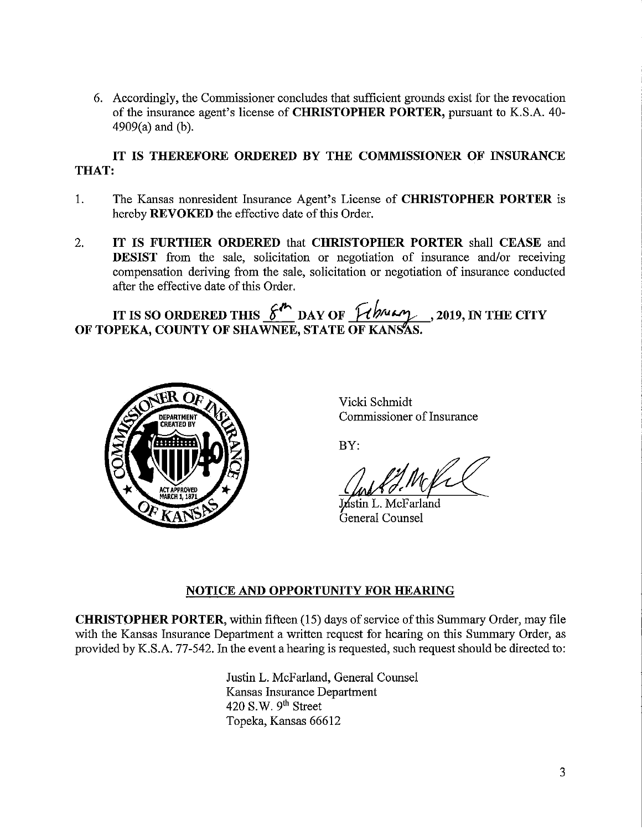6. Accordingly, the Commissioner concludes that sufficient grounds exist for the revocation of the insurance agent's license of **CHRISTOPHER PORTER,** pursuant to K.S.A. 40- 4909(a) and (b).

# **IT IS THEREFORE ORDERED BY THE COMMISSIONER OF INSURANCE THAT:**

- 1. The Kansas nonresident Insurance Agent's License of **CHRISTOPHER PORTER** is hereby **REVOKED** the effective date of this Order.
- 2. **IT IS FURTHER ORDERED** that **CHRISTOPHER PORTER** shall **CEASE** and **DESIST** from the sale, solicitation or negotiation of insurance and/or receiving compensation deriving from the sale, solicitation or negotiation of insurance conducted after the effective date of this Order.

**IT IS SO ORDERED THIS**  $\frac{\mathscr{E}^{\mu}}{\mathscr{E}^{\mu}}$  DAY OF  $\frac{\mu}{\mathscr{E}^{\mu}}$ , 2019, IN THE CITY OF TOPEKA, COUNTY OF SHAWNEE, STATE OF KANS*AS.* 



Vicki Schmidt Commissioner of Insurance

BY:

Justin L. McFarland General Counsel

## **NOTICE AND OPPORTUNITY FOR HEARING**

**CHRISTOPHER PORTER,** within fifteen (15) days of service of this Summary Order, may file with the Kansas Insurance Department a written request for hearing on this Summary Order, as provided by K.S.A. 77-542. In the event a hearing is requested, such request should be directed to:

> Justin L. McFarland, General Counsel Kansas Insurance Department  $420$  S.W.  $9<sup>th</sup>$  Street Topeka, Kansas 66612